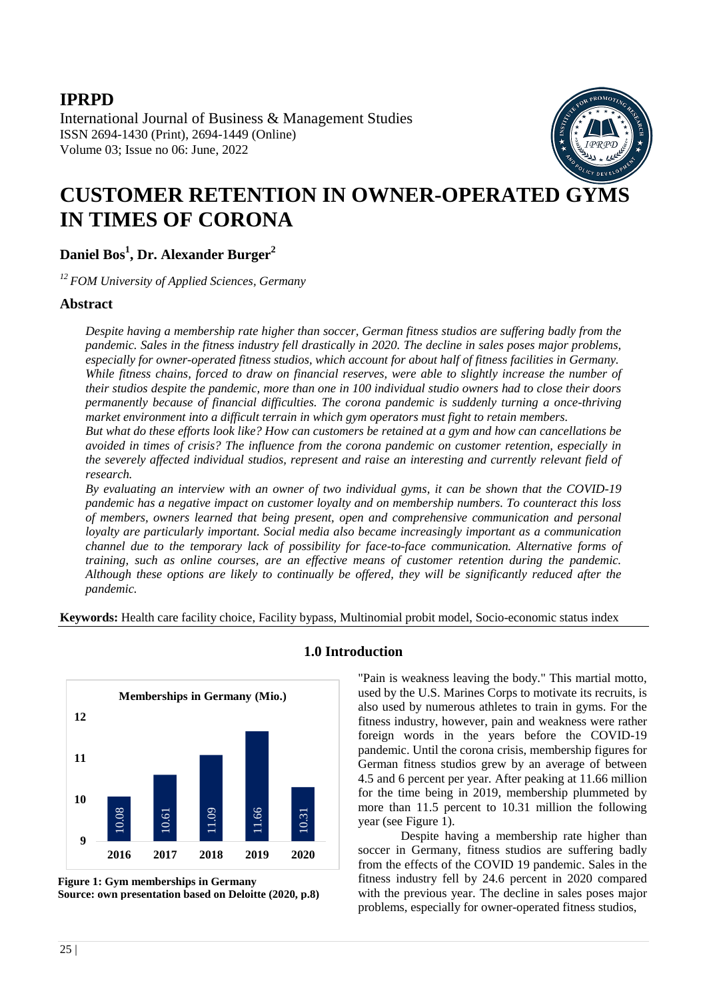## **IPRPD**

International Journal of Business & Management Studies ISSN 2694-1430 (Print), 2694-1449 (Online) Volume 03; Issue no 06: June, 2022



# **CUSTOMER RETENTION IN OWNER-OPERATED GYMS IN TIMES OF CORONA**

**Daniel Bos<sup>1</sup> , Dr. Alexander Burger<sup>2</sup>**

*12 FOM University of Applied Sciences, Germany*

### **Abstract**

*Despite having a membership rate higher than soccer, German fitness studios are suffering badly from the pandemic. Sales in the fitness industry fell drastically in 2020. The decline in sales poses major problems, especially for owner-operated fitness studios, which account for about half of fitness facilities in Germany. While fitness chains, forced to draw on financial reserves, were able to slightly increase the number of their studios despite the pandemic, more than one in 100 individual studio owners had to close their doors permanently because of financial difficulties. The corona pandemic is suddenly turning a once-thriving market environment into a difficult terrain in which gym operators must fight to retain members.*

*But what do these efforts look like? How can customers be retained at a gym and how can cancellations be avoided in times of crisis? The influence from the corona pandemic on customer retention, especially in the severely affected individual studios, represent and raise an interesting and currently relevant field of research.* 

*By evaluating an interview with an owner of two individual gyms, it can be shown that the COVID-19 pandemic has a negative impact on customer loyalty and on membership numbers. To counteract this loss of members, owners learned that being present, open and comprehensive communication and personal loyalty are particularly important. Social media also became increasingly important as a communication channel due to the temporary lack of possibility for face-to-face communication. Alternative forms of training, such as online courses, are an effective means of customer retention during the pandemic. Although these options are likely to continually be offered, they will be significantly reduced after the pandemic.*

**Keywords:** Health care facility choice, Facility bypass, Multinomial probit model, Socio-economic status index



## **1.0 Introduction**

"Pain is weakness leaving the body." This martial motto, used by the U.S. Marines Corps to motivate its recruits, is also used by numerous athletes to train in gyms. For the fitness industry, however, pain and weakness were rather foreign words in the years before the COVID-19 pandemic. Until the corona crisis, membership figures for German fitness studios grew by an average of between 4.5 and 6 percent per year. After peaking at 11.66 million for the time being in 2019, membership plummeted by more than 11.5 percent to 10.31 million the following year (see Figure 1).

Despite having a membership rate higher than soccer in Germany, fitness studios are suffering badly from the effects of the COVID 19 pandemic. Sales in the fitness industry fell by 24.6 percent in 2020 compared with the previous year. The decline in sales poses major problems, especially for owner-operated fitness studios,

**Figure 1: Gym memberships in Germany Source: own presentation based on Deloitte (2020, p.8)**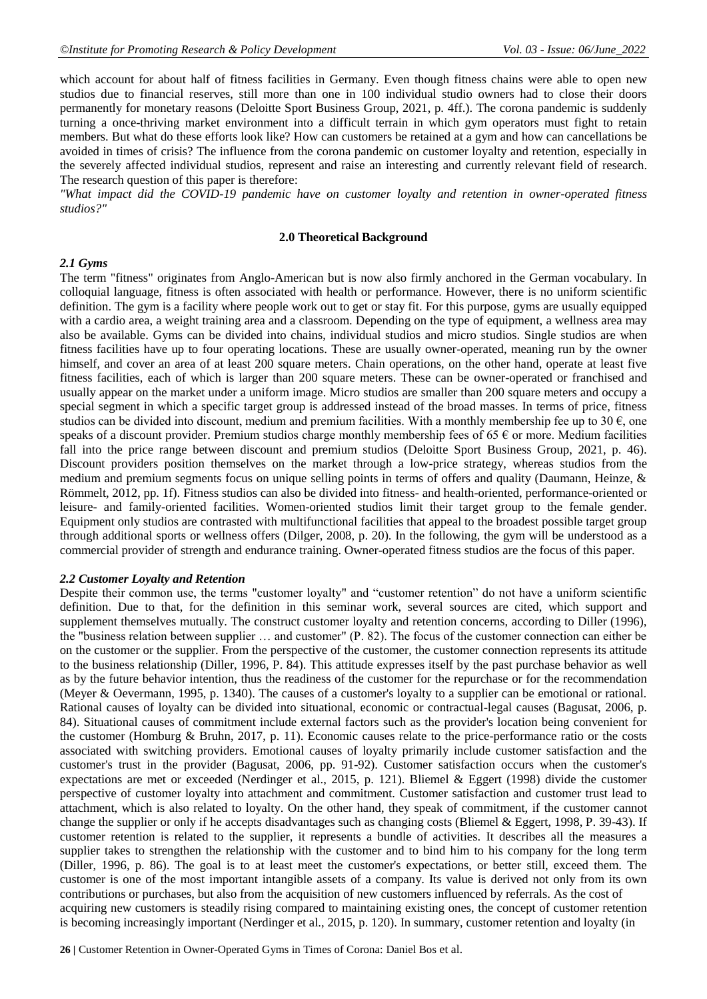which account for about half of fitness facilities in Germany. Even though fitness chains were able to open new studios due to financial reserves, still more than one in 100 individual studio owners had to close their doors permanently for monetary reasons (Deloitte Sport Business Group, 2021, p. 4ff.). The corona pandemic is suddenly turning a once-thriving market environment into a difficult terrain in which gym operators must fight to retain members. But what do these efforts look like? How can customers be retained at a gym and how can cancellations be avoided in times of crisis? The influence from the corona pandemic on customer loyalty and retention, especially in the severely affected individual studios, represent and raise an interesting and currently relevant field of research. The research question of this paper is therefore:

*"What impact did the COVID-19 pandemic have on customer loyalty and retention in owner-operated fitness studios?"*

#### **2.0 Theoretical Background**

#### *2.1 Gyms*

The term "fitness" originates from Anglo-American but is now also firmly anchored in the German vocabulary. In colloquial language, fitness is often associated with health or performance. However, there is no uniform scientific definition. The gym is a facility where people work out to get or stay fit. For this purpose, gyms are usually equipped with a cardio area, a weight training area and a classroom. Depending on the type of equipment, a wellness area may also be available. Gyms can be divided into chains, individual studios and micro studios. Single studios are when fitness facilities have up to four operating locations. These are usually owner-operated, meaning run by the owner himself, and cover an area of at least 200 square meters. Chain operations, on the other hand, operate at least five fitness facilities, each of which is larger than 200 square meters. These can be owner-operated or franchised and usually appear on the market under a uniform image. Micro studios are smaller than 200 square meters and occupy a special segment in which a specific target group is addressed instead of the broad masses. In terms of price, fitness studios can be divided into discount, medium and premium facilities. With a monthly membership fee up to 30  $\epsilon$ , one speaks of a discount provider. Premium studios charge monthly membership fees of 65  $\epsilon$  or more. Medium facilities fall into the price range between discount and premium studios (Deloitte Sport Business Group, 2021, p. 46). Discount providers position themselves on the market through a low-price strategy, whereas studios from the medium and premium segments focus on unique selling points in terms of offers and quality (Daumann, Heinze, & Römmelt, 2012, pp. 1f). Fitness studios can also be divided into fitness- and health-oriented, performance-oriented or leisure- and family-oriented facilities. Women-oriented studios limit their target group to the female gender. Equipment only studios are contrasted with multifunctional facilities that appeal to the broadest possible target group through additional sports or wellness offers (Dilger, 2008, p. 20). In the following, the gym will be understood as a commercial provider of strength and endurance training. Owner-operated fitness studios are the focus of this paper.

#### *2.2 Customer Loyalty and Retention*

Despite their common use, the terms "customer loyalty" and "customer retention" do not have a uniform scientific definition. Due to that, for the definition in this seminar work, several sources are cited, which support and supplement themselves mutually. The construct customer loyalty and retention concerns, according to Diller (1996), the "business relation between supplier … and customer" (P. 82). The focus of the customer connection can either be on the customer or the supplier. From the perspective of the customer, the customer connection represents its attitude to the business relationship (Diller, 1996, P. 84). This attitude expresses itself by the past purchase behavior as well as by the future behavior intention, thus the readiness of the customer for the repurchase or for the recommendation (Meyer & Oevermann, 1995, p. 1340). The causes of a customer's loyalty to a supplier can be emotional or rational. Rational causes of loyalty can be divided into situational, economic or contractual-legal causes (Bagusat, 2006, p. 84). Situational causes of commitment include external factors such as the provider's location being convenient for the customer (Homburg & Bruhn, 2017, p. 11). Economic causes relate to the price-performance ratio or the costs associated with switching providers. Emotional causes of loyalty primarily include customer satisfaction and the customer's trust in the provider (Bagusat, 2006, pp. 91-92). Customer satisfaction occurs when the customer's expectations are met or exceeded (Nerdinger et al., 2015, p. 121). Bliemel & Eggert (1998) divide the customer perspective of customer loyalty into attachment and commitment. Customer satisfaction and customer trust lead to attachment, which is also related to loyalty. On the other hand, they speak of commitment, if the customer cannot change the supplier or only if he accepts disadvantages such as changing costs (Bliemel & Eggert, 1998, P. 39-43). If customer retention is related to the supplier, it represents a bundle of activities. It describes all the measures a supplier takes to strengthen the relationship with the customer and to bind him to his company for the long term (Diller, 1996, p. 86). The goal is to at least meet the customer's expectations, or better still, exceed them. The customer is one of the most important intangible assets of a company. Its value is derived not only from its own contributions or purchases, but also from the acquisition of new customers influenced by referrals. As the cost of acquiring new customers is steadily rising compared to maintaining existing ones, the concept of customer retention is becoming increasingly important (Nerdinger et al., 2015, p. 120). In summary, customer retention and loyalty (in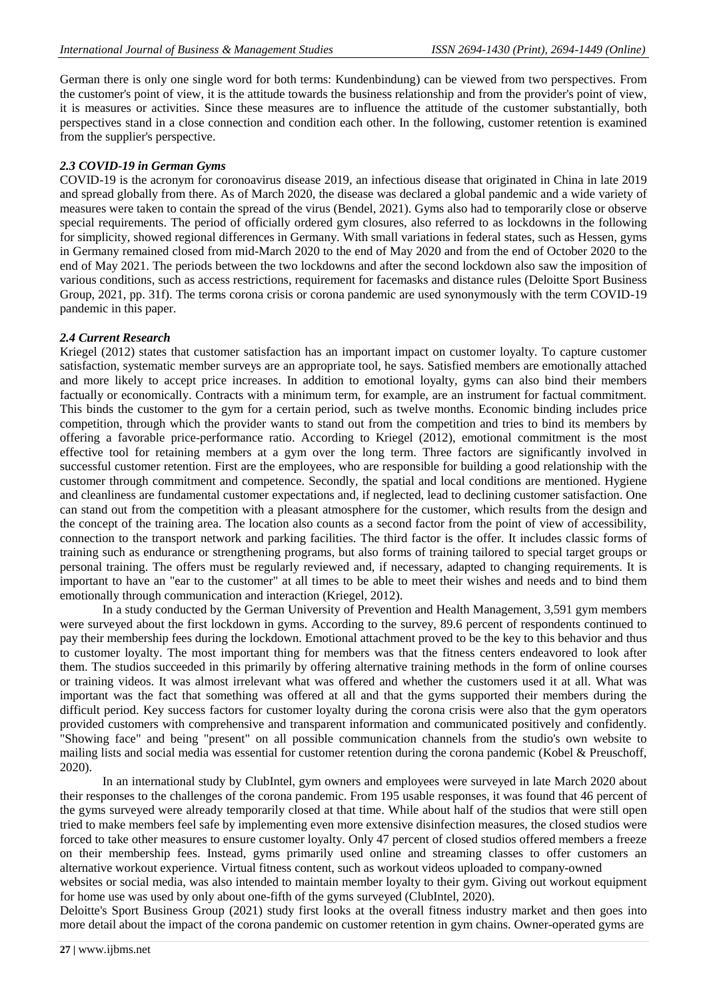German there is only one single word for both terms: Kundenbindung) can be viewed from two perspectives. From the customer's point of view, it is the attitude towards the business relationship and from the provider's point of view, it is measures or activities. Since these measures are to influence the attitude of the customer substantially, both perspectives stand in a close connection and condition each other. In the following, customer retention is examined from the supplier's perspective.

#### *2.3 COVID-19 in German Gyms*

COVID-19 is the acronym for coronoavirus disease 2019, an infectious disease that originated in China in late 2019 and spread globally from there. As of March 2020, the disease was declared a global pandemic and a wide variety of measures were taken to contain the spread of the virus (Bendel, 2021). Gyms also had to temporarily close or observe special requirements. The period of officially ordered gym closures, also referred to as lockdowns in the following for simplicity, showed regional differences in Germany. With small variations in federal states, such as Hessen, gyms in Germany remained closed from mid-March 2020 to the end of May 2020 and from the end of October 2020 to the end of May 2021. The periods between the two lockdowns and after the second lockdown also saw the imposition of various conditions, such as access restrictions, requirement for facemasks and distance rules (Deloitte Sport Business Group, 2021, pp. 31f). The terms corona crisis or corona pandemic are used synonymously with the term COVID-19 pandemic in this paper.

#### *2.4 Current Research*

Kriegel (2012) states that customer satisfaction has an important impact on customer loyalty. To capture customer satisfaction, systematic member surveys are an appropriate tool, he says. Satisfied members are emotionally attached and more likely to accept price increases. In addition to emotional loyalty, gyms can also bind their members factually or economically. Contracts with a minimum term, for example, are an instrument for factual commitment. This binds the customer to the gym for a certain period, such as twelve months. Economic binding includes price competition, through which the provider wants to stand out from the competition and tries to bind its members by offering a favorable price-performance ratio. According to Kriegel (2012), emotional commitment is the most effective tool for retaining members at a gym over the long term. Three factors are significantly involved in successful customer retention. First are the employees, who are responsible for building a good relationship with the customer through commitment and competence. Secondly, the spatial and local conditions are mentioned. Hygiene and cleanliness are fundamental customer expectations and, if neglected, lead to declining customer satisfaction. One can stand out from the competition with a pleasant atmosphere for the customer, which results from the design and the concept of the training area. The location also counts as a second factor from the point of view of accessibility, connection to the transport network and parking facilities. The third factor is the offer. It includes classic forms of training such as endurance or strengthening programs, but also forms of training tailored to special target groups or personal training. The offers must be regularly reviewed and, if necessary, adapted to changing requirements. It is important to have an "ear to the customer" at all times to be able to meet their wishes and needs and to bind them emotionally through communication and interaction (Kriegel, 2012).

In a study conducted by the German University of Prevention and Health Management, 3,591 gym members were surveyed about the first lockdown in gyms. According to the survey, 89.6 percent of respondents continued to pay their membership fees during the lockdown. Emotional attachment proved to be the key to this behavior and thus to customer loyalty. The most important thing for members was that the fitness centers endeavored to look after them. The studios succeeded in this primarily by offering alternative training methods in the form of online courses or training videos. It was almost irrelevant what was offered and whether the customers used it at all. What was important was the fact that something was offered at all and that the gyms supported their members during the difficult period. Key success factors for customer loyalty during the corona crisis were also that the gym operators provided customers with comprehensive and transparent information and communicated positively and confidently. "Showing face" and being "present" on all possible communication channels from the studio's own website to mailing lists and social media was essential for customer retention during the corona pandemic (Kobel & Preuschoff, 2020).

In an international study by ClubIntel, gym owners and employees were surveyed in late March 2020 about their responses to the challenges of the corona pandemic. From 195 usable responses, it was found that 46 percent of the gyms surveyed were already temporarily closed at that time. While about half of the studios that were still open tried to make members feel safe by implementing even more extensive disinfection measures, the closed studios were forced to take other measures to ensure customer loyalty. Only 47 percent of closed studios offered members a freeze on their membership fees. Instead, gyms primarily used online and streaming classes to offer customers an alternative workout experience. Virtual fitness content, such as workout videos uploaded to company-owned

websites or social media, was also intended to maintain member loyalty to their gym. Giving out workout equipment for home use was used by only about one-fifth of the gyms surveyed (ClubIntel, 2020).

Deloitte's Sport Business Group (2021) study first looks at the overall fitness industry market and then goes into more detail about the impact of the corona pandemic on customer retention in gym chains. Owner-operated gyms are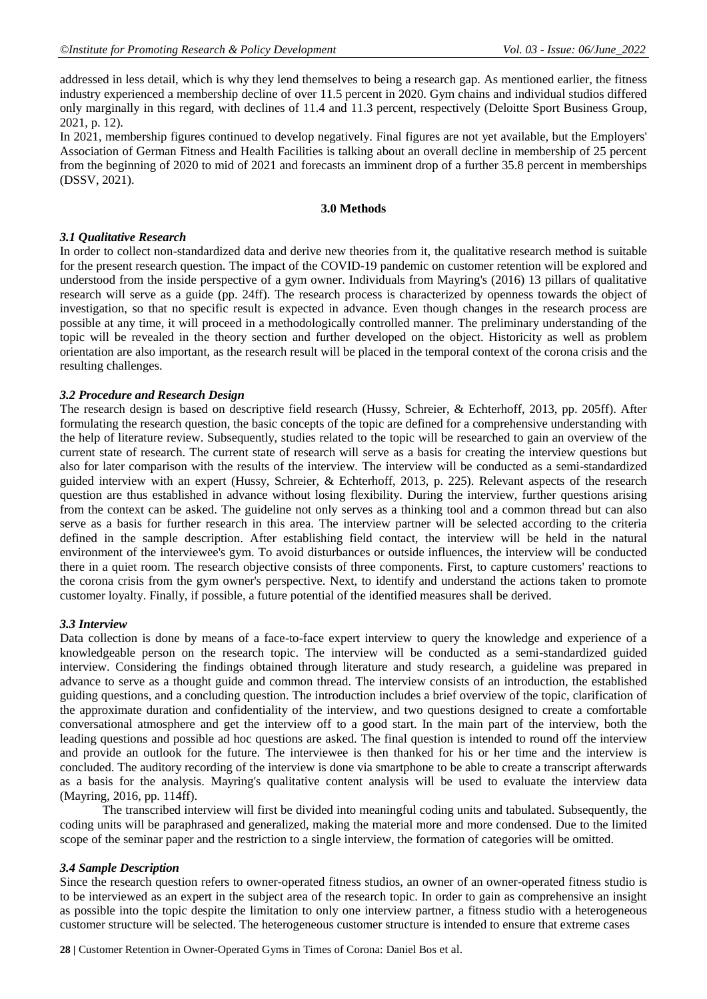addressed in less detail, which is why they lend themselves to being a research gap. As mentioned earlier, the fitness industry experienced a membership decline of over 11.5 percent in 2020. Gym chains and individual studios differed only marginally in this regard, with declines of 11.4 and 11.3 percent, respectively (Deloitte Sport Business Group, 2021, p. 12).

In 2021, membership figures continued to develop negatively. Final figures are not yet available, but the Employers' Association of German Fitness and Health Facilities is talking about an overall decline in membership of 25 percent from the beginning of 2020 to mid of 2021 and forecasts an imminent drop of a further 35.8 percent in memberships (DSSV, 2021).

#### **3.0 Methods**

#### *3.1 Qualitative Research*

In order to collect non-standardized data and derive new theories from it, the qualitative research method is suitable for the present research question. The impact of the COVID-19 pandemic on customer retention will be explored and understood from the inside perspective of a gym owner. Individuals from Mayring's (2016) 13 pillars of qualitative research will serve as a guide (pp. 24ff). The research process is characterized by openness towards the object of investigation, so that no specific result is expected in advance. Even though changes in the research process are possible at any time, it will proceed in a methodologically controlled manner. The preliminary understanding of the topic will be revealed in the theory section and further developed on the object. Historicity as well as problem orientation are also important, as the research result will be placed in the temporal context of the corona crisis and the resulting challenges.

#### *3.2 Procedure and Research Design*

The research design is based on descriptive field research (Hussy, Schreier, & Echterhoff, 2013, pp. 205ff). After formulating the research question, the basic concepts of the topic are defined for a comprehensive understanding with the help of literature review. Subsequently, studies related to the topic will be researched to gain an overview of the current state of research. The current state of research will serve as a basis for creating the interview questions but also for later comparison with the results of the interview. The interview will be conducted as a semi-standardized guided interview with an expert (Hussy, Schreier, & Echterhoff, 2013, p. 225). Relevant aspects of the research question are thus established in advance without losing flexibility. During the interview, further questions arising from the context can be asked. The guideline not only serves as a thinking tool and a common thread but can also serve as a basis for further research in this area. The interview partner will be selected according to the criteria defined in the sample description. After establishing field contact, the interview will be held in the natural environment of the interviewee's gym. To avoid disturbances or outside influences, the interview will be conducted there in a quiet room. The research objective consists of three components. First, to capture customers' reactions to the corona crisis from the gym owner's perspective. Next, to identify and understand the actions taken to promote customer loyalty. Finally, if possible, a future potential of the identified measures shall be derived.

#### *3.3 Interview*

Data collection is done by means of a face-to-face expert interview to query the knowledge and experience of a knowledgeable person on the research topic. The interview will be conducted as a semi-standardized guided interview. Considering the findings obtained through literature and study research, a guideline was prepared in advance to serve as a thought guide and common thread. The interview consists of an introduction, the established guiding questions, and a concluding question. The introduction includes a brief overview of the topic, clarification of the approximate duration and confidentiality of the interview, and two questions designed to create a comfortable conversational atmosphere and get the interview off to a good start. In the main part of the interview, both the leading questions and possible ad hoc questions are asked. The final question is intended to round off the interview and provide an outlook for the future. The interviewee is then thanked for his or her time and the interview is concluded. The auditory recording of the interview is done via smartphone to be able to create a transcript afterwards as a basis for the analysis. Mayring's qualitative content analysis will be used to evaluate the interview data (Mayring, 2016, pp. 114ff).

The transcribed interview will first be divided into meaningful coding units and tabulated. Subsequently, the coding units will be paraphrased and generalized, making the material more and more condensed. Due to the limited scope of the seminar paper and the restriction to a single interview, the formation of categories will be omitted.

#### *3.4 Sample Description*

Since the research question refers to owner-operated fitness studios, an owner of an owner-operated fitness studio is to be interviewed as an expert in the subject area of the research topic. In order to gain as comprehensive an insight as possible into the topic despite the limitation to only one interview partner, a fitness studio with a heterogeneous customer structure will be selected. The heterogeneous customer structure is intended to ensure that extreme cases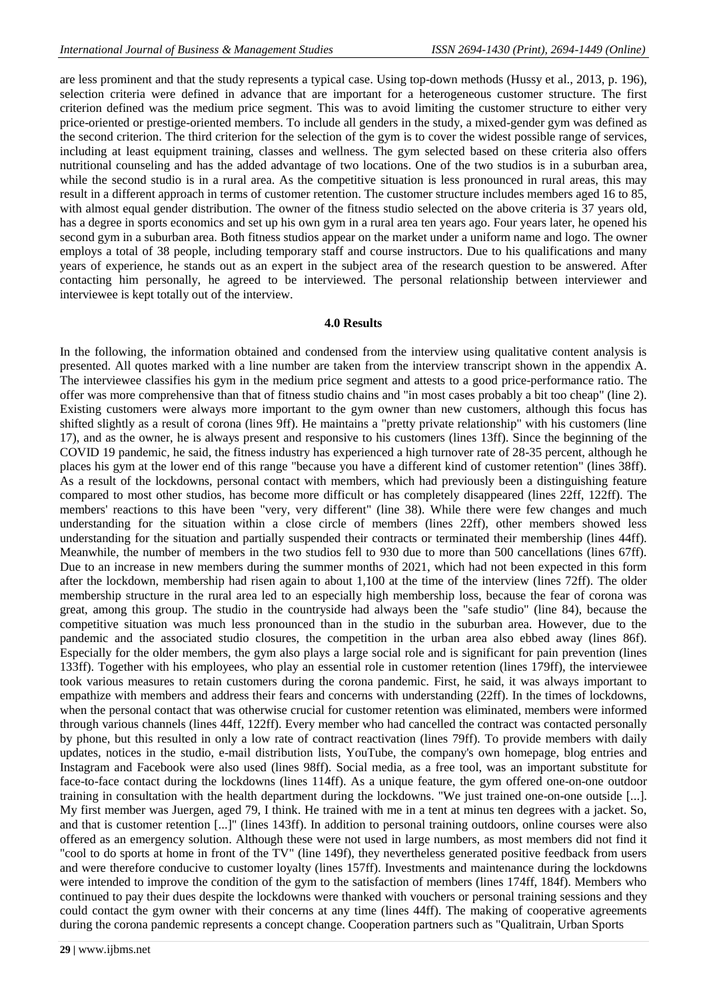are less prominent and that the study represents a typical case. Using top-down methods (Hussy et al., 2013, p. 196), selection criteria were defined in advance that are important for a heterogeneous customer structure. The first criterion defined was the medium price segment. This was to avoid limiting the customer structure to either very price-oriented or prestige-oriented members. To include all genders in the study, a mixed-gender gym was defined as the second criterion. The third criterion for the selection of the gym is to cover the widest possible range of services, including at least equipment training, classes and wellness. The gym selected based on these criteria also offers nutritional counseling and has the added advantage of two locations. One of the two studios is in a suburban area, while the second studio is in a rural area. As the competitive situation is less pronounced in rural areas, this may result in a different approach in terms of customer retention. The customer structure includes members aged 16 to 85, with almost equal gender distribution. The owner of the fitness studio selected on the above criteria is 37 years old, has a degree in sports economics and set up his own gym in a rural area ten years ago. Four years later, he opened his second gym in a suburban area. Both fitness studios appear on the market under a uniform name and logo. The owner employs a total of 38 people, including temporary staff and course instructors. Due to his qualifications and many years of experience, he stands out as an expert in the subject area of the research question to be answered. After contacting him personally, he agreed to be interviewed. The personal relationship between interviewer and interviewee is kept totally out of the interview.

#### **4.0 Results**

In the following, the information obtained and condensed from the interview using qualitative content analysis is presented. All quotes marked with a line number are taken from the interview transcript shown in the appendix A. The interviewee classifies his gym in the medium price segment and attests to a good price-performance ratio. The offer was more comprehensive than that of fitness studio chains and "in most cases probably a bit too cheap" (line 2). Existing customers were always more important to the gym owner than new customers, although this focus has shifted slightly as a result of corona (lines 9ff). He maintains a "pretty private relationship" with his customers (line 17), and as the owner, he is always present and responsive to his customers (lines 13ff). Since the beginning of the COVID 19 pandemic, he said, the fitness industry has experienced a high turnover rate of 28-35 percent, although he places his gym at the lower end of this range "because you have a different kind of customer retention" (lines 38ff). As a result of the lockdowns, personal contact with members, which had previously been a distinguishing feature compared to most other studios, has become more difficult or has completely disappeared (lines 22ff, 122ff). The members' reactions to this have been "very, very different" (line 38). While there were few changes and much understanding for the situation within a close circle of members (lines 22ff), other members showed less understanding for the situation and partially suspended their contracts or terminated their membership (lines 44ff). Meanwhile, the number of members in the two studios fell to 930 due to more than 500 cancellations (lines 67ff). Due to an increase in new members during the summer months of 2021, which had not been expected in this form after the lockdown, membership had risen again to about 1,100 at the time of the interview (lines 72ff). The older membership structure in the rural area led to an especially high membership loss, because the fear of corona was great, among this group. The studio in the countryside had always been the "safe studio" (line 84), because the competitive situation was much less pronounced than in the studio in the suburban area. However, due to the pandemic and the associated studio closures, the competition in the urban area also ebbed away (lines 86f). Especially for the older members, the gym also plays a large social role and is significant for pain prevention (lines 133ff). Together with his employees, who play an essential role in customer retention (lines 179ff), the interviewee took various measures to retain customers during the corona pandemic. First, he said, it was always important to empathize with members and address their fears and concerns with understanding (22ff). In the times of lockdowns, when the personal contact that was otherwise crucial for customer retention was eliminated, members were informed through various channels (lines 44ff, 122ff). Every member who had cancelled the contract was contacted personally by phone, but this resulted in only a low rate of contract reactivation (lines 79ff). To provide members with daily updates, notices in the studio, e-mail distribution lists, YouTube, the company's own homepage, blog entries and Instagram and Facebook were also used (lines 98ff). Social media, as a free tool, was an important substitute for face-to-face contact during the lockdowns (lines 114ff). As a unique feature, the gym offered one-on-one outdoor training in consultation with the health department during the lockdowns. "We just trained one-on-one outside [...]. My first member was Juergen, aged 79, I think. He trained with me in a tent at minus ten degrees with a jacket. So, and that is customer retention [...]" (lines 143ff). In addition to personal training outdoors, online courses were also offered as an emergency solution. Although these were not used in large numbers, as most members did not find it "cool to do sports at home in front of the TV" (line 149f), they nevertheless generated positive feedback from users and were therefore conducive to customer loyalty (lines 157ff). Investments and maintenance during the lockdowns were intended to improve the condition of the gym to the satisfaction of members (lines 174ff, 184f). Members who continued to pay their dues despite the lockdowns were thanked with vouchers or personal training sessions and they could contact the gym owner with their concerns at any time (lines 44ff). The making of cooperative agreements during the corona pandemic represents a concept change. Cooperation partners such as "Qualitrain, Urban Sports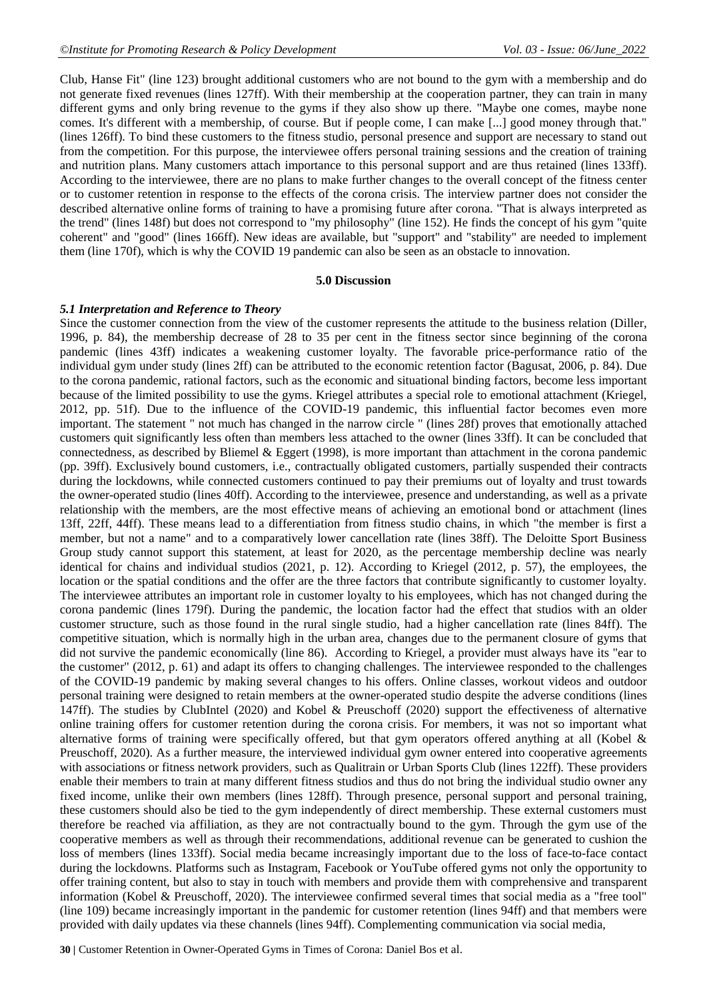Club, Hanse Fit" (line 123) brought additional customers who are not bound to the gym with a membership and do not generate fixed revenues (lines 127ff). With their membership at the cooperation partner, they can train in many different gyms and only bring revenue to the gyms if they also show up there. "Maybe one comes, maybe none comes. It's different with a membership, of course. But if people come, I can make [...] good money through that." (lines 126ff). To bind these customers to the fitness studio, personal presence and support are necessary to stand out from the competition. For this purpose, the interviewee offers personal training sessions and the creation of training and nutrition plans. Many customers attach importance to this personal support and are thus retained (lines 133ff). According to the interviewee, there are no plans to make further changes to the overall concept of the fitness center or to customer retention in response to the effects of the corona crisis. The interview partner does not consider the described alternative online forms of training to have a promising future after corona. "That is always interpreted as the trend" (lines 148f) but does not correspond to "my philosophy" (line 152). He finds the concept of his gym "quite coherent" and "good" (lines 166ff). New ideas are available, but "support" and "stability" are needed to implement them (line 170f), which is why the COVID 19 pandemic can also be seen as an obstacle to innovation.

#### **5.0 Discussion**

#### *5.1 Interpretation and Reference to Theory*

Since the customer connection from the view of the customer represents the attitude to the business relation (Diller, 1996, p. 84), the membership decrease of 28 to 35 per cent in the fitness sector since beginning of the corona pandemic (lines 43ff) indicates a weakening customer loyalty. The favorable price-performance ratio of the individual gym under study (lines 2ff) can be attributed to the economic retention factor (Bagusat, 2006, p. 84). Due to the corona pandemic, rational factors, such as the economic and situational binding factors, become less important because of the limited possibility to use the gyms. Kriegel attributes a special role to emotional attachment (Kriegel, 2012, pp. 51f). Due to the influence of the COVID-19 pandemic, this influential factor becomes even more important. The statement " not much has changed in the narrow circle " (lines 28f) proves that emotionally attached customers quit significantly less often than members less attached to the owner (lines 33ff). It can be concluded that connectedness, as described by Bliemel & Eggert (1998), is more important than attachment in the corona pandemic (pp. 39ff). Exclusively bound customers, i.e., contractually obligated customers, partially suspended their contracts during the lockdowns, while connected customers continued to pay their premiums out of loyalty and trust towards the owner-operated studio (lines 40ff). According to the interviewee, presence and understanding, as well as a private relationship with the members, are the most effective means of achieving an emotional bond or attachment (lines 13ff, 22ff, 44ff). These means lead to a differentiation from fitness studio chains, in which "the member is first a member, but not a name" and to a comparatively lower cancellation rate (lines 38ff). The Deloitte Sport Business Group study cannot support this statement, at least for 2020, as the percentage membership decline was nearly identical for chains and individual studios (2021, p. 12). According to Kriegel (2012, p. 57), the employees, the location or the spatial conditions and the offer are the three factors that contribute significantly to customer loyalty. The interviewee attributes an important role in customer loyalty to his employees, which has not changed during the corona pandemic (lines 179f). During the pandemic, the location factor had the effect that studios with an older customer structure, such as those found in the rural single studio, had a higher cancellation rate (lines 84ff). The competitive situation, which is normally high in the urban area, changes due to the permanent closure of gyms that did not survive the pandemic economically (line 86). According to Kriegel, a provider must always have its "ear to the customer" (2012, p. 61) and adapt its offers to changing challenges. The interviewee responded to the challenges of the COVID-19 pandemic by making several changes to his offers. Online classes, workout videos and outdoor personal training were designed to retain members at the owner-operated studio despite the adverse conditions (lines 147ff). The studies by ClubIntel (2020) and Kobel & Preuschoff (2020) support the effectiveness of alternative online training offers for customer retention during the corona crisis. For members, it was not so important what alternative forms of training were specifically offered, but that gym operators offered anything at all (Kobel & Preuschoff, 2020). As a further measure, the interviewed individual gym owner entered into cooperative agreements with associations or fitness network providers, such as Qualitrain or Urban Sports Club (lines 122ff). These providers enable their members to train at many different fitness studios and thus do not bring the individual studio owner any fixed income, unlike their own members (lines 128ff). Through presence, personal support and personal training, these customers should also be tied to the gym independently of direct membership. These external customers must therefore be reached via affiliation, as they are not contractually bound to the gym. Through the gym use of the cooperative members as well as through their recommendations, additional revenue can be generated to cushion the loss of members (lines 133ff). Social media became increasingly important due to the loss of face-to-face contact during the lockdowns. Platforms such as Instagram, Facebook or YouTube offered gyms not only the opportunity to offer training content, but also to stay in touch with members and provide them with comprehensive and transparent information (Kobel & Preuschoff, 2020). The interviewee confirmed several times that social media as a "free tool" (line 109) became increasingly important in the pandemic for customer retention (lines 94ff) and that members were provided with daily updates via these channels (lines 94ff). Complementing communication via social media,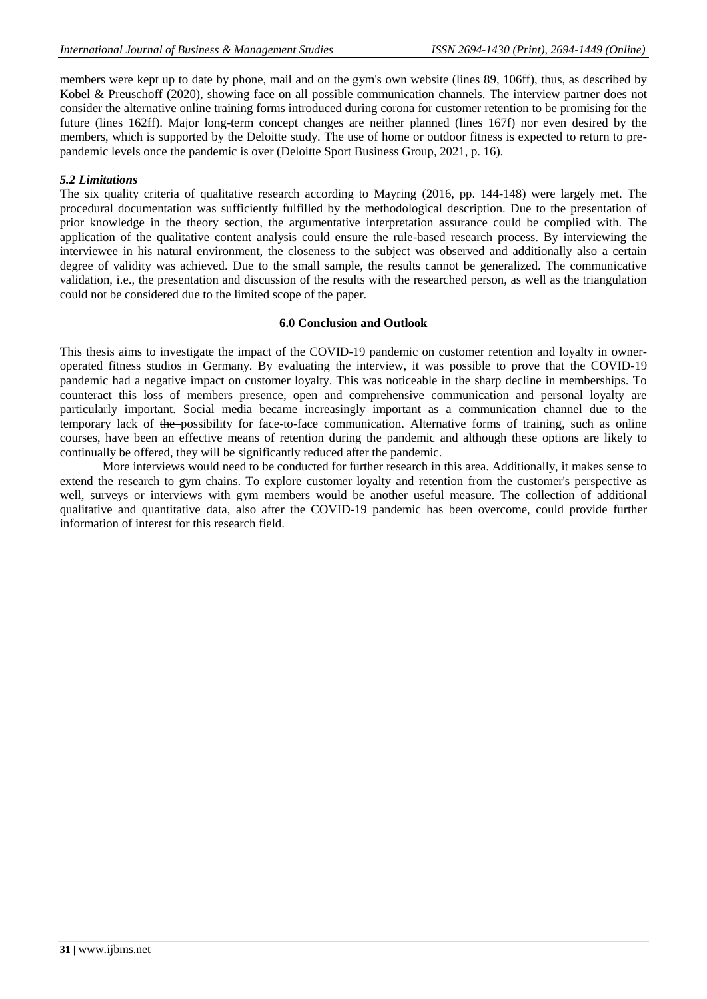members were kept up to date by phone, mail and on the gym's own website (lines 89, 106ff), thus, as described by Kobel & Preuschoff (2020), showing face on all possible communication channels. The interview partner does not consider the alternative online training forms introduced during corona for customer retention to be promising for the future (lines 162ff). Major long-term concept changes are neither planned (lines 167f) nor even desired by the members, which is supported by the Deloitte study. The use of home or outdoor fitness is expected to return to prepandemic levels once the pandemic is over (Deloitte Sport Business Group, 2021, p. 16).

#### *5.2 Limitations*

The six quality criteria of qualitative research according to Mayring (2016, pp. 144-148) were largely met. The procedural documentation was sufficiently fulfilled by the methodological description. Due to the presentation of prior knowledge in the theory section, the argumentative interpretation assurance could be complied with. The application of the qualitative content analysis could ensure the rule-based research process. By interviewing the interviewee in his natural environment, the closeness to the subject was observed and additionally also a certain degree of validity was achieved. Due to the small sample, the results cannot be generalized. The communicative validation, i.e., the presentation and discussion of the results with the researched person, as well as the triangulation could not be considered due to the limited scope of the paper.

#### **6.0 Conclusion and Outlook**

This thesis aims to investigate the impact of the COVID-19 pandemic on customer retention and loyalty in owneroperated fitness studios in Germany. By evaluating the interview, it was possible to prove that the COVID-19 pandemic had a negative impact on customer loyalty. This was noticeable in the sharp decline in memberships. To counteract this loss of members presence, open and comprehensive communication and personal loyalty are particularly important. Social media became increasingly important as a communication channel due to the temporary lack of the possibility for face-to-face communication. Alternative forms of training, such as online courses, have been an effective means of retention during the pandemic and although these options are likely to continually be offered, they will be significantly reduced after the pandemic.

More interviews would need to be conducted for further research in this area. Additionally, it makes sense to extend the research to gym chains. To explore customer loyalty and retention from the customer's perspective as well, surveys or interviews with gym members would be another useful measure. The collection of additional qualitative and quantitative data, also after the COVID-19 pandemic has been overcome, could provide further information of interest for this research field.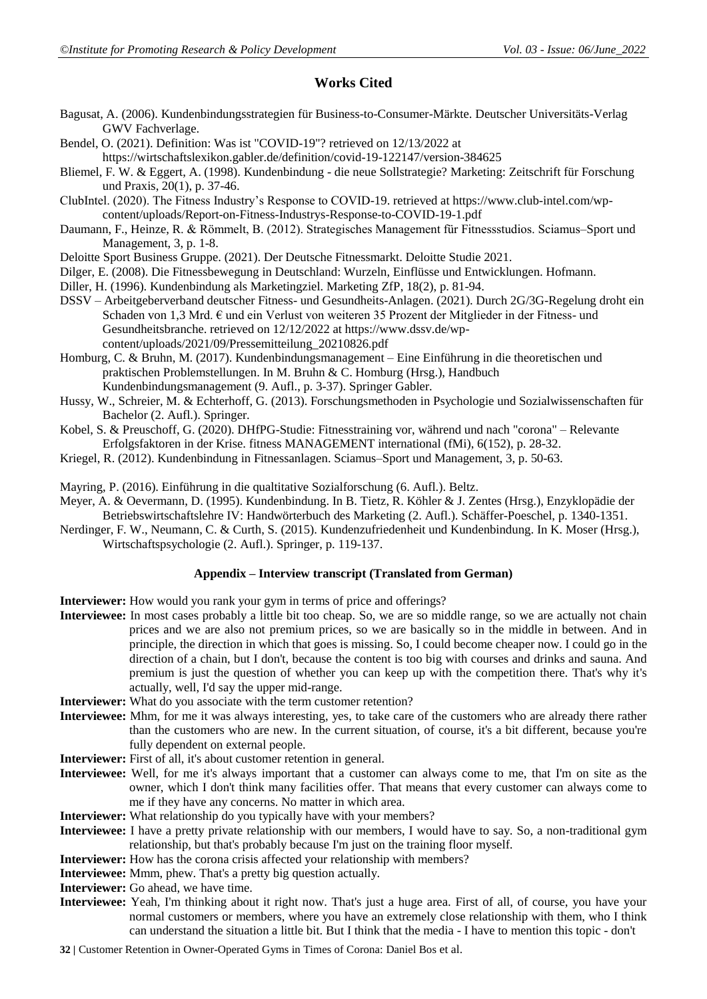## **Works Cited**

- Bagusat, A. (2006). Kundenbindungsstrategien für Business-to-Consumer-Märkte. Deutscher Universitäts-Verlag GWV Fachverlage.
- Bendel, O. (2021). Definition: Was ist "COVID-19"? retrieved on 12/13/2022 at
- https://wirtschaftslexikon.gabler.de/definition/covid-19-122147/version-384625
- Bliemel, F. W. & Eggert, A. (1998). Kundenbindung die neue Sollstrategie? Marketing: Zeitschrift für Forschung und Praxis, 20(1), p. 37-46.
- ClubIntel. (2020). The Fitness Industry's Response to COVID-19. retrieved at https://www.club-intel.com/wpcontent/uploads/Report-on-Fitness-Industrys-Response-to-COVID-19-1.pdf
- Daumann, F., Heinze, R. & Römmelt, B. (2012). Strategisches Management für Fitnessstudios. Sciamus–Sport und Management, 3, p. 1-8.
- Deloitte Sport Business Gruppe. (2021). Der Deutsche Fitnessmarkt. Deloitte Studie 2021.
- Dilger, E. (2008). Die Fitnessbewegung in Deutschland: Wurzeln, Einflüsse und Entwicklungen. Hofmann.
- Diller, H. (1996). Kundenbindung als Marketingziel. Marketing ZfP, 18(2), p. 81-94.
- DSSV Arbeitgeberverband deutscher Fitness- und Gesundheits-Anlagen. (2021). Durch 2G/3G-Regelung droht ein Schaden von 1,3 Mrd. € und ein Verlust von weiteren 35 Prozent der Mitglieder in der Fitness- und Gesundheitsbranche. retrieved on 12/12/2022 at https://www.dssv.de/wpcontent/uploads/2021/09/Pressemitteilung\_20210826.pdf
- Homburg, C. & Bruhn, M. (2017). Kundenbindungsmanagement Eine Einführung in die theoretischen und praktischen Problemstellungen. In M. Bruhn & C. Homburg (Hrsg.), Handbuch Kundenbindungsmanagement (9. Aufl., p. 3-37). Springer Gabler.
- Hussy, W., Schreier, M. & Echterhoff, G. (2013). Forschungsmethoden in Psychologie und Sozialwissenschaften für Bachelor (2. Aufl.). Springer.
- Kobel, S. & Preuschoff, G. (2020). DHfPG-Studie: Fitnesstraining vor, während und nach "corona" Relevante Erfolgsfaktoren in der Krise. fitness MANAGEMENT international (fMi), 6(152), p. 28-32.
- Kriegel, R. (2012). Kundenbindung in Fitnessanlagen. Sciamus–Sport und Management, 3, p. 50-63.

Mayring, P. (2016). Einführung in die qualtitative Sozialforschung (6. Aufl.). Beltz.

- Meyer, A. & Oevermann, D. (1995). Kundenbindung. In B. Tietz, R. Köhler & J. Zentes (Hrsg.), Enzyklopädie der Betriebswirtschaftslehre IV: Handwörterbuch des Marketing (2. Aufl.). Schäffer-Poeschel, p. 1340-1351.
- Nerdinger, F. W., Neumann, C. & Curth, S. (2015). Kundenzufriedenheit und Kundenbindung. In K. Moser (Hrsg.), Wirtschaftspsychologie (2. Aufl.). Springer, p. 119-137.

#### **Appendix – Interview transcript (Translated from German)**

- **Interviewer:** How would you rank your gym in terms of price and offerings?
- **Interviewee:** In most cases probably a little bit too cheap. So, we are so middle range, so we are actually not chain prices and we are also not premium prices, so we are basically so in the middle in between. And in principle, the direction in which that goes is missing. So, I could become cheaper now. I could go in the direction of a chain, but I don't, because the content is too big with courses and drinks and sauna. And premium is just the question of whether you can keep up with the competition there. That's why it's actually, well, I'd say the upper mid-range.
- **Interviewer:** What do you associate with the term customer retention?
- **Interviewee:** Mhm, for me it was always interesting, yes, to take care of the customers who are already there rather than the customers who are new. In the current situation, of course, it's a bit different, because you're fully dependent on external people.
- **Interviewer:** First of all, it's about customer retention in general.
- **Interviewee:** Well, for me it's always important that a customer can always come to me, that I'm on site as the owner, which I don't think many facilities offer. That means that every customer can always come to me if they have any concerns. No matter in which area.
- **Interviewer:** What relationship do you typically have with your members?
- **Interviewee:** I have a pretty private relationship with our members, I would have to say. So, a non-traditional gym relationship, but that's probably because I'm just on the training floor myself.
- **Interviewer:** How has the corona crisis affected your relationship with members?
- **Interviewee:** Mmm, phew. That's a pretty big question actually.
- **Interviewer:** Go ahead, we have time.
- **Interviewee:** Yeah, I'm thinking about it right now. That's just a huge area. First of all, of course, you have your normal customers or members, where you have an extremely close relationship with them, who I think can understand the situation a little bit. But I think that the media - I have to mention this topic - don't
- **32 |** Customer Retention in Owner-Operated Gyms in Times of Corona: Daniel Bos et al.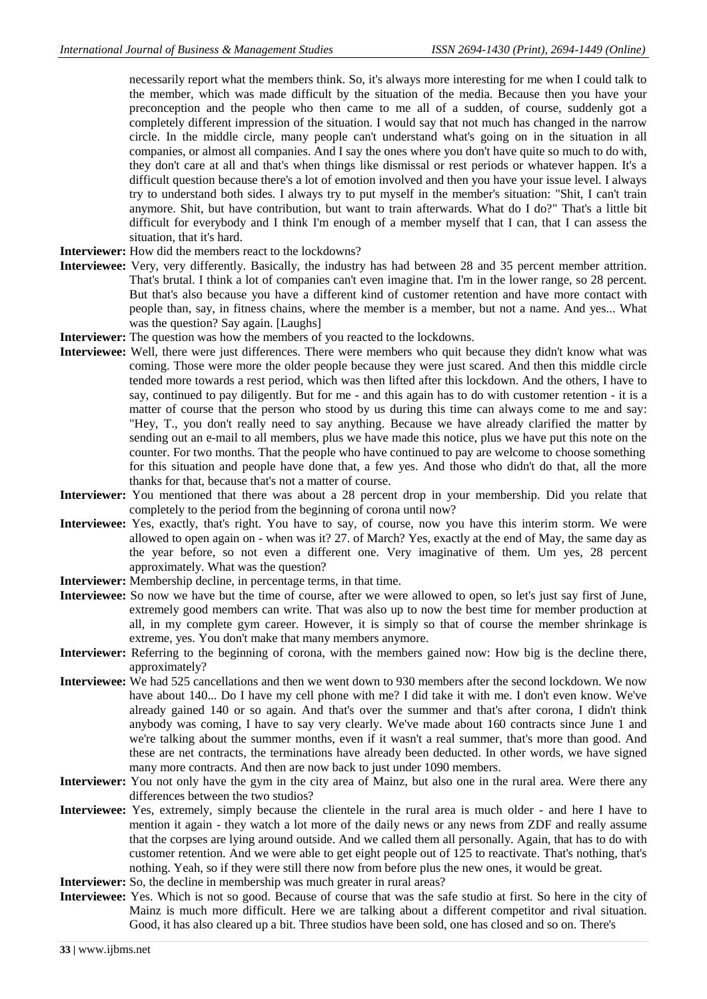necessarily report what the members think. So, it's always more interesting for me when I could talk to the member, which was made difficult by the situation of the media. Because then you have your preconception and the people who then came to me all of a sudden, of course, suddenly got a completely different impression of the situation. I would say that not much has changed in the narrow circle. In the middle circle, many people can't understand what's going on in the situation in all companies, or almost all companies. And I say the ones where you don't have quite so much to do with, they don't care at all and that's when things like dismissal or rest periods or whatever happen. It's a difficult question because there's a lot of emotion involved and then you have your issue level. I always try to understand both sides. I always try to put myself in the member's situation: "Shit, I can't train anymore. Shit, but have contribution, but want to train afterwards. What do I do?" That's a little bit difficult for everybody and I think I'm enough of a member myself that I can, that I can assess the situation, that it's hard.

- **Interviewer:** How did the members react to the lockdowns?
- **Interviewee:** Very, very differently. Basically, the industry has had between 28 and 35 percent member attrition. That's brutal. I think a lot of companies can't even imagine that. I'm in the lower range, so 28 percent. But that's also because you have a different kind of customer retention and have more contact with people than, say, in fitness chains, where the member is a member, but not a name. And yes... What was the question? Say again. [Laughs]
- **Interviewer:** The question was how the members of you reacted to the lockdowns.
- **Interviewee:** Well, there were just differences. There were members who quit because they didn't know what was coming. Those were more the older people because they were just scared. And then this middle circle tended more towards a rest period, which was then lifted after this lockdown. And the others, I have to say, continued to pay diligently. But for me - and this again has to do with customer retention - it is a matter of course that the person who stood by us during this time can always come to me and say: "Hey, T., you don't really need to say anything. Because we have already clarified the matter by sending out an e-mail to all members, plus we have made this notice, plus we have put this note on the counter. For two months. That the people who have continued to pay are welcome to choose something for this situation and people have done that, a few yes. And those who didn't do that, all the more thanks for that, because that's not a matter of course.
- **Interviewer:** You mentioned that there was about a 28 percent drop in your membership. Did you relate that completely to the period from the beginning of corona until now?
- **Interviewee:** Yes, exactly, that's right. You have to say, of course, now you have this interim storm. We were allowed to open again on - when was it? 27. of March? Yes, exactly at the end of May, the same day as the year before, so not even a different one. Very imaginative of them. Um yes, 28 percent approximately. What was the question?
- **Interviewer:** Membership decline, in percentage terms, in that time.
- **Interviewee:** So now we have but the time of course, after we were allowed to open, so let's just say first of June, extremely good members can write. That was also up to now the best time for member production at all, in my complete gym career. However, it is simply so that of course the member shrinkage is extreme, yes. You don't make that many members anymore.
- **Interviewer:** Referring to the beginning of corona, with the members gained now: How big is the decline there, approximately?
- **Interviewee:** We had 525 cancellations and then we went down to 930 members after the second lockdown. We now have about 140... Do I have my cell phone with me? I did take it with me. I don't even know. We've already gained 140 or so again. And that's over the summer and that's after corona, I didn't think anybody was coming, I have to say very clearly. We've made about 160 contracts since June 1 and we're talking about the summer months, even if it wasn't a real summer, that's more than good. And these are net contracts, the terminations have already been deducted. In other words, we have signed many more contracts. And then are now back to just under 1090 members.
- **Interviewer:** You not only have the gym in the city area of Mainz, but also one in the rural area. Were there any differences between the two studios?
- **Interviewee:** Yes, extremely, simply because the clientele in the rural area is much older and here I have to mention it again - they watch a lot more of the daily news or any news from ZDF and really assume that the corpses are lying around outside. And we called them all personally. Again, that has to do with customer retention. And we were able to get eight people out of 125 to reactivate. That's nothing, that's nothing. Yeah, so if they were still there now from before plus the new ones, it would be great.
- **Interviewer:** So, the decline in membership was much greater in rural areas?
- **Interviewee:** Yes. Which is not so good. Because of course that was the safe studio at first. So here in the city of Mainz is much more difficult. Here we are talking about a different competitor and rival situation. Good, it has also cleared up a bit. Three studios have been sold, one has closed and so on. There's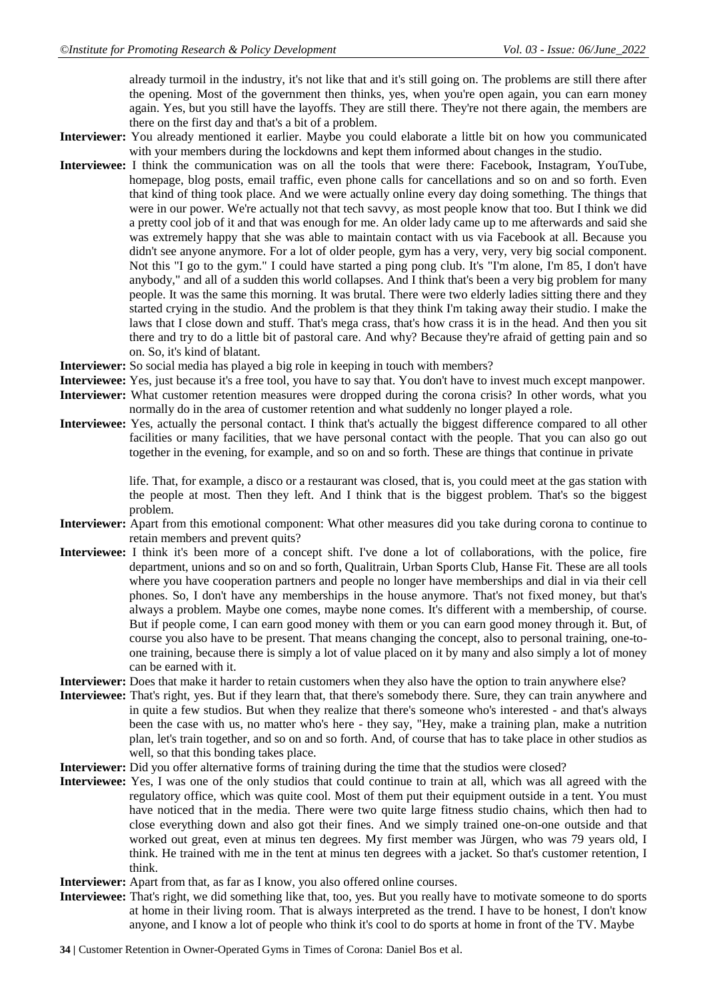already turmoil in the industry, it's not like that and it's still going on. The problems are still there after the opening. Most of the government then thinks, yes, when you're open again, you can earn money again. Yes, but you still have the layoffs. They are still there. They're not there again, the members are there on the first day and that's a bit of a problem.

- **Interviewer:** You already mentioned it earlier. Maybe you could elaborate a little bit on how you communicated with your members during the lockdowns and kept them informed about changes in the studio.
- **Interviewee:** I think the communication was on all the tools that were there: Facebook, Instagram, YouTube, homepage, blog posts, email traffic, even phone calls for cancellations and so on and so forth. Even that kind of thing took place. And we were actually online every day doing something. The things that were in our power. We're actually not that tech savvy, as most people know that too. But I think we did a pretty cool job of it and that was enough for me. An older lady came up to me afterwards and said she was extremely happy that she was able to maintain contact with us via Facebook at all. Because you didn't see anyone anymore. For a lot of older people, gym has a very, very, very big social component. Not this "I go to the gym." I could have started a ping pong club. It's "I'm alone, I'm 85, I don't have anybody," and all of a sudden this world collapses. And I think that's been a very big problem for many people. It was the same this morning. It was brutal. There were two elderly ladies sitting there and they started crying in the studio. And the problem is that they think I'm taking away their studio. I make the laws that I close down and stuff. That's mega crass, that's how crass it is in the head. And then you sit there and try to do a little bit of pastoral care. And why? Because they're afraid of getting pain and so on. So, it's kind of blatant.
- **Interviewer:** So social media has played a big role in keeping in touch with members?
- **Interviewee:** Yes, just because it's a free tool, you have to say that. You don't have to invest much except manpower.
- **Interviewer:** What customer retention measures were dropped during the corona crisis? In other words, what you normally do in the area of customer retention and what suddenly no longer played a role.
- **Interviewee:** Yes, actually the personal contact. I think that's actually the biggest difference compared to all other facilities or many facilities, that we have personal contact with the people. That you can also go out together in the evening, for example, and so on and so forth. These are things that continue in private

life. That, for example, a disco or a restaurant was closed, that is, you could meet at the gas station with the people at most. Then they left. And I think that is the biggest problem. That's so the biggest problem.

- **Interviewer:** Apart from this emotional component: What other measures did you take during corona to continue to retain members and prevent quits?
- **Interviewee:** I think it's been more of a concept shift. I've done a lot of collaborations, with the police, fire department, unions and so on and so forth, Qualitrain, Urban Sports Club, Hanse Fit. These are all tools where you have cooperation partners and people no longer have memberships and dial in via their cell phones. So, I don't have any memberships in the house anymore. That's not fixed money, but that's always a problem. Maybe one comes, maybe none comes. It's different with a membership, of course. But if people come, I can earn good money with them or you can earn good money through it. But, of course you also have to be present. That means changing the concept, also to personal training, one-toone training, because there is simply a lot of value placed on it by many and also simply a lot of money can be earned with it.
- **Interviewer:** Does that make it harder to retain customers when they also have the option to train anywhere else?
- **Interviewee:** That's right, yes. But if they learn that, that there's somebody there. Sure, they can train anywhere and in quite a few studios. But when they realize that there's someone who's interested - and that's always been the case with us, no matter who's here - they say, "Hey, make a training plan, make a nutrition plan, let's train together, and so on and so forth. And, of course that has to take place in other studios as well, so that this bonding takes place.
- **Interviewer:** Did you offer alternative forms of training during the time that the studios were closed?
- **Interviewee:** Yes, I was one of the only studios that could continue to train at all, which was all agreed with the regulatory office, which was quite cool. Most of them put their equipment outside in a tent. You must have noticed that in the media. There were two quite large fitness studio chains, which then had to close everything down and also got their fines. And we simply trained one-on-one outside and that worked out great, even at minus ten degrees. My first member was Jürgen, who was 79 years old, I think. He trained with me in the tent at minus ten degrees with a jacket. So that's customer retention, I think.
- **Interviewer:** Apart from that, as far as I know, you also offered online courses.
- **Interviewee:** That's right, we did something like that, too, yes. But you really have to motivate someone to do sports at home in their living room. That is always interpreted as the trend. I have to be honest, I don't know anyone, and I know a lot of people who think it's cool to do sports at home in front of the TV. Maybe
- **34 |** Customer Retention in Owner-Operated Gyms in Times of Corona: Daniel Bos et al.